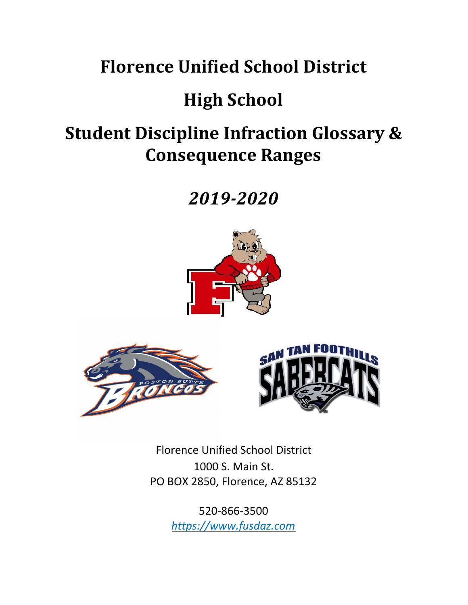# **Florence Unified School District**

# **High School**

# **Student Discipline Infraction Glossary & Consequence Ranges**

# *2019-2020*





Florence Unified School District 1000 S. Main St. PO BOX 2850, Florence, AZ 85132

> 520-866-3500 *https://www.fusdaz.com*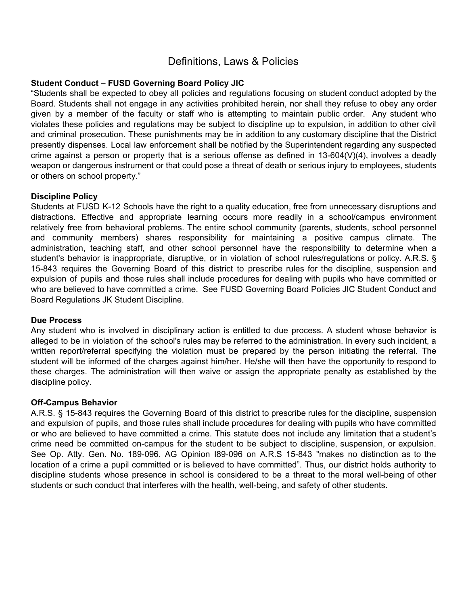# Definitions, Laws & Policies

#### **Student Conduct – FUSD Governing Board Policy JIC**

"Students shall be expected to obey all policies and regulations focusing on student conduct adopted by the Board. Students shall not engage in any activities prohibited herein, nor shall they refuse to obey any order given by a member of the faculty or staff who is attempting to maintain public order. Any student who violates these policies and regulations may be subject to discipline up to expulsion, in addition to other civil and criminal prosecution. These punishments may be in addition to any customary discipline that the District presently dispenses. Local law enforcement shall be notified by the Superintendent regarding any suspected crime against a person or property that is a serious offense as defined in 13-604(V)(4), involves a deadly weapon or dangerous instrument or that could pose a threat of death or serious injury to employees, students or others on school property."

#### **Discipline Policy**

Students at FUSD K-12 Schools have the right to a quality education, free from unnecessary disruptions and distractions. Effective and appropriate learning occurs more readily in a school/campus environment relatively free from behavioral problems. The entire school community (parents, students, school personnel and community members) shares responsibility for maintaining a positive campus climate. The administration, teaching staff, and other school personnel have the responsibility to determine when a student's behavior is inappropriate, disruptive, or in violation of school rules/regulations or policy. A.R.S. § 15-843 requires the Governing Board of this district to prescribe rules for the discipline, suspension and expulsion of pupils and those rules shall include procedures for dealing with pupils who have committed or who are believed to have committed a crime. See FUSD Governing Board Policies JIC Student Conduct and Board Regulations JK Student Discipline.

#### **Due Process**

Any student who is involved in disciplinary action is entitled to due process. A student whose behavior is alleged to be in violation of the school's rules may be referred to the administration. In every such incident, a written report/referral specifying the violation must be prepared by the person initiating the referral. The student will be informed of the charges against him/her. He/she will then have the opportunity to respond to these charges. The administration will then waive or assign the appropriate penalty as established by the discipline policy.

#### **Off-Campus Behavior**

A.R.S. § 15-843 requires the Governing Board of this district to prescribe rules for the discipline, suspension and expulsion of pupils, and those rules shall include procedures for dealing with pupils who have committed or who are believed to have committed a crime. This statute does not include any limitation that a student's crime need be committed on-campus for the student to be subject to discipline, suspension, or expulsion. See Op. Atty. Gen. No. 189-096. AG Opinion I89-096 on A.R.S 15-843 "makes no distinction as to the location of a crime a pupil committed or is believed to have committed". Thus, our district holds authority to discipline students whose presence in school is considered to be a threat to the moral well-being of other students or such conduct that interferes with the health, well-being, and safety of other students.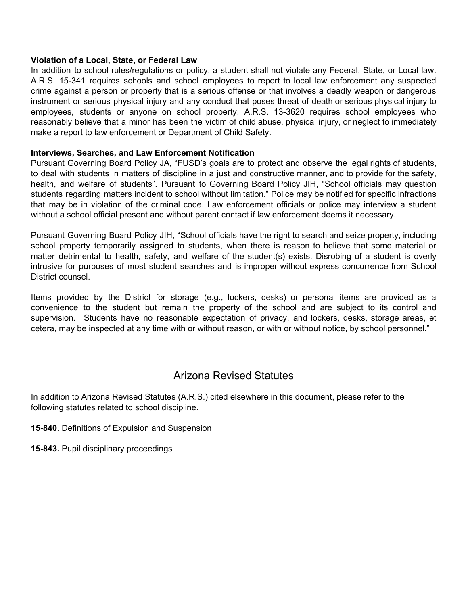#### **Violation of a Local, State, or Federal Law**

In addition to school rules/regulations or policy, a student shall not violate any Federal, State, or Local law. A.R.S. 15-341 requires schools and school employees to report to local law enforcement any suspected crime against a person or property that is a serious offense or that involves a deadly weapon or dangerous instrument or serious physical injury and any conduct that poses threat of death or serious physical injury to employees, students or anyone on school property. A.R.S. 13-3620 requires school employees who reasonably believe that a minor has been the victim of child abuse, physical injury, or neglect to immediately make a report to law enforcement or Department of Child Safety.

#### **Interviews, Searches, and Law Enforcement Notification**

Pursuant Governing Board Policy JA, "FUSD's goals are to protect and observe the legal rights of students, to deal with students in matters of discipline in a just and constructive manner, and to provide for the safety, health, and welfare of students". Pursuant to Governing Board Policy JIH, "School officials may question students regarding matters incident to school without limitation." Police may be notified for specific infractions that may be in violation of the criminal code. Law enforcement officials or police may interview a student without a school official present and without parent contact if law enforcement deems it necessary.

Pursuant Governing Board Policy JIH, "School officials have the right to search and seize property, including school property temporarily assigned to students, when there is reason to believe that some material or matter detrimental to health, safety, and welfare of the student(s) exists. Disrobing of a student is overly intrusive for purposes of most student searches and is improper without express concurrence from School District counsel.

Items provided by the District for storage (e.g., lockers, desks) or personal items are provided as a convenience to the student but remain the property of the school and are subject to its control and supervision. Students have no reasonable expectation of privacy, and lockers, desks, storage areas, et cetera, may be inspected at any time with or without reason, or with or without notice, by school personnel."

## Arizona Revised Statutes

In addition to Arizona Revised Statutes (A.R.S.) cited elsewhere in this document, please refer to the following statutes related to school discipline.

**15-840.** Definitions of Expulsion and Suspension

**15-843.** Pupil disciplinary proceedings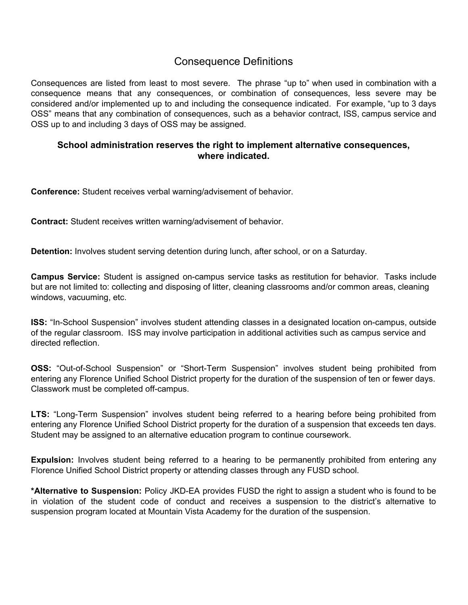# Consequence Definitions

Consequences are listed from least to most severe. The phrase "up to" when used in combination with a consequence means that any consequences, or combination of consequences, less severe may be considered and/or implemented up to and including the consequence indicated. For example, "up to 3 days OSS" means that any combination of consequences, such as a behavior contract, ISS, campus service and OSS up to and including 3 days of OSS may be assigned.

## **School administration reserves the right to implement alternative consequences, where indicated.**

**Conference:** Student receives verbal warning/advisement of behavior.

**Contract:** Student receives written warning/advisement of behavior.

**Detention:** Involves student serving detention during lunch, after school, or on a Saturday.

**Campus Service:** Student is assigned on-campus service tasks as restitution for behavior. Tasks include but are not limited to: collecting and disposing of litter, cleaning classrooms and/or common areas, cleaning windows, vacuuming, etc.

**ISS:** "In-School Suspension" involves student attending classes in a designated location on-campus, outside of the regular classroom. ISS may involve participation in additional activities such as campus service and directed reflection.

**OSS:** "Out-of-School Suspension" or "Short-Term Suspension" involves student being prohibited from entering any Florence Unified School District property for the duration of the suspension of ten or fewer days. Classwork must be completed off-campus.

**LTS:** "Long-Term Suspension" involves student being referred to a hearing before being prohibited from entering any Florence Unified School District property for the duration of a suspension that exceeds ten days. Student may be assigned to an alternative education program to continue coursework.

**Expulsion:** Involves student being referred to a hearing to be permanently prohibited from entering any Florence Unified School District property or attending classes through any FUSD school.

**\*Alternative to Suspension:** Policy JKD-EA provides FUSD the right to assign a student who is found to be in violation of the student code of conduct and receives a suspension to the district's alternative to suspension program located at Mountain Vista Academy for the duration of the suspension.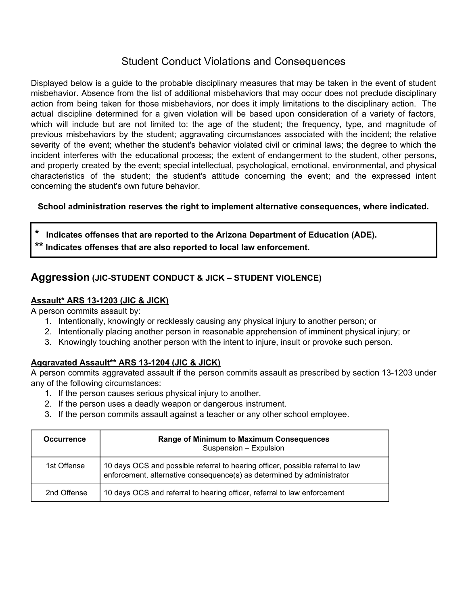# Student Conduct Violations and Consequences

Displayed below is a guide to the probable disciplinary measures that may be taken in the event of student misbehavior. Absence from the list of additional misbehaviors that may occur does not preclude disciplinary action from being taken for those misbehaviors, nor does it imply limitations to the disciplinary action. The actual discipline determined for a given violation will be based upon consideration of a variety of factors, which will include but are not limited to: the age of the student; the frequency, type, and magnitude of previous misbehaviors by the student; aggravating circumstances associated with the incident; the relative severity of the event; whether the student's behavior violated civil or criminal laws; the degree to which the incident interferes with the educational process; the extent of endangerment to the student, other persons, and property created by the event; special intellectual, psychological, emotional, environmental, and physical characteristics of the student; the student's attitude concerning the event; and the expressed intent concerning the student's own future behavior.

## **School administration reserves the right to implement alternative consequences, where indicated.**

**\* Indicates offenses that are reported to the Arizona Department of Education (ADE). \*\* Indicates offenses that are also reported to local law enforcement.**

## **Aggression (JIC-STUDENT CONDUCT & JICK – STUDENT VIOLENCE)**

## **Assault\* ARS 13-1203 (JIC & JICK)**

A person commits assault by:

- 1. Intentionally, knowingly or recklessly causing any physical injury to another person; or
- 2. Intentionally placing another person in reasonable apprehension of imminent physical injury; or
- 3. Knowingly touching another person with the intent to injure, insult or provoke such person.

## **Aggravated Assault\*\* ARS 13-1204 (JIC & JICK)**

A person commits aggravated assault if the person commits assault as prescribed by section 13-1203 under any of the following circumstances:

- 1. If the person causes serious physical injury to another.
- 2. If the person uses a deadly weapon or dangerous instrument.
- 3. If the person commits assault against a teacher or any other school employee.

| <b>Occurrence</b> | <b>Range of Minimum to Maximum Consequences</b><br>Suspension - Expulsion                                                                                |
|-------------------|----------------------------------------------------------------------------------------------------------------------------------------------------------|
| 1st Offense       | 10 days OCS and possible referral to hearing officer, possible referral to law<br>enforcement, alternative consequence(s) as determined by administrator |
| 2nd Offense       | 10 days OCS and referral to hearing officer, referral to law enforcement                                                                                 |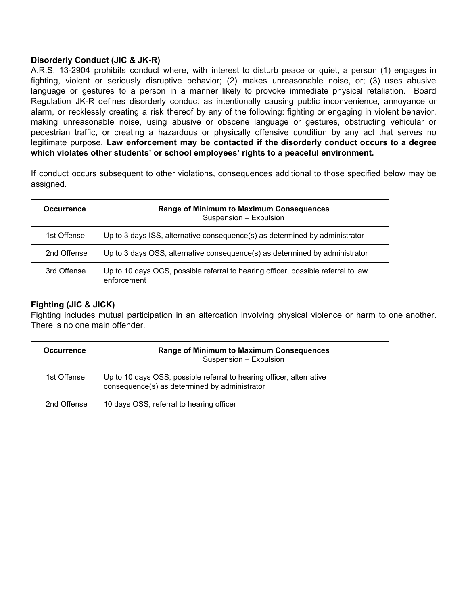### **Disorderly Conduct (JIC & JK-R)**

A.R.S. 13-2904 prohibits conduct where, with interest to disturb peace or quiet, a person (1) engages in fighting, violent or seriously disruptive behavior; (2) makes unreasonable noise, or; (3) uses abusive language or gestures to a person in a manner likely to provoke immediate physical retaliation. Board Regulation JK-R defines disorderly conduct as intentionally causing public inconvenience, annoyance or alarm, or recklessly creating a risk thereof by any of the following: fighting or engaging in violent behavior, making unreasonable noise, using abusive or obscene language or gestures, obstructing vehicular or pedestrian traffic, or creating a hazardous or physically offensive condition by any act that serves no legitimate purpose. **Law enforcement may be contacted if the disorderly conduct occurs to a degree which violates other students' or school employees' rights to a peaceful environment.**

If conduct occurs subsequent to other violations, consequences additional to those specified below may be assigned.

| <b>Occurrence</b> | <b>Range of Minimum to Maximum Consequences</b><br>Suspension - Expulsion                        |
|-------------------|--------------------------------------------------------------------------------------------------|
| 1st Offense       | Up to 3 days ISS, alternative consequence(s) as determined by administrator                      |
| 2nd Offense       | Up to 3 days OSS, alternative consequence(s) as determined by administrator                      |
| 3rd Offense       | Up to 10 days OCS, possible referral to hearing officer, possible referral to law<br>enforcement |

## **Fighting (JIC & JICK)**

Fighting includes mutual participation in an altercation involving physical violence or harm to one another. There is no one main offender.

| <b>Occurrence</b> | <b>Range of Minimum to Maximum Consequences</b><br>Suspension - Expulsion                                             |
|-------------------|-----------------------------------------------------------------------------------------------------------------------|
| 1st Offense       | Up to 10 days OSS, possible referral to hearing officer, alternative<br>consequence(s) as determined by administrator |
| 2nd Offense       | 10 days OSS, referral to hearing officer                                                                              |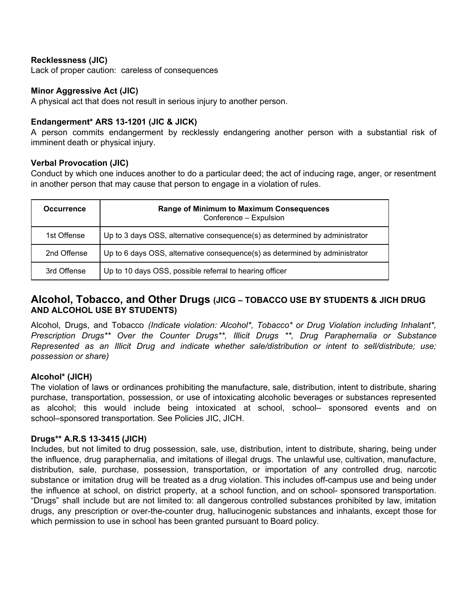#### **Recklessness (JIC)**

Lack of proper caution: careless of consequences

#### **Minor Aggressive Act (JIC)**

A physical act that does not result in serious injury to another person.

#### **Endangerment\* ARS 13-1201 (JIC & JICK)**

A person commits endangerment by recklessly endangering another person with a substantial risk of imminent death or physical injury.

#### **Verbal Provocation (JIC)**

Conduct by which one induces another to do a particular deed; the act of inducing rage, anger, or resentment in another person that may cause that person to engage in a violation of rules.

| <b>Occurrence</b> | <b>Range of Minimum to Maximum Consequences</b><br>Conference - Expulsion   |
|-------------------|-----------------------------------------------------------------------------|
| 1st Offense       | Up to 3 days OSS, alternative consequence(s) as determined by administrator |
| 2nd Offense       | Up to 6 days OSS, alternative consequence(s) as determined by administrator |
| 3rd Offense       | Up to 10 days OSS, possible referral to hearing officer                     |

## **Alcohol, Tobacco, and Other Drugs (JICG – TOBACCO USE BY STUDENTS & JICH DRUG AND ALCOHOL USE BY STUDENTS)**

Alcohol, Drugs, and Tobacco *(Indicate violation: Alcohol\*, Tobacco\* or Drug Violation including Inhalant\*, Prescription Drugs\*\* Over the Counter Drugs\*\*, Illicit Drugs \*\*, Drug Paraphernalia or Substance Represented as an Illicit Drug and indicate whether sale/distribution or intent to sell/distribute; use; possession or share)*

#### **Alcohol\* (JICH)**

The violation of laws or ordinances prohibiting the manufacture, sale, distribution, intent to distribute, sharing purchase, transportation, possession, or use of intoxicating alcoholic beverages or substances represented as alcohol; this would include being intoxicated at school, school– sponsored events and on school–sponsored transportation. See Policies JIC, JICH.

#### **Drugs\*\* A.R.S 13-3415 (JICH)**

Includes, but not limited to drug possession, sale, use, distribution, intent to distribute, sharing, being under the influence, drug paraphernalia, and imitations of illegal drugs. The unlawful use, cultivation, manufacture, distribution, sale, purchase, possession, transportation, or importation of any controlled drug, narcotic substance or imitation drug will be treated as a drug violation. This includes off-campus use and being under the influence at school, on district property, at a school function, and on school- sponsored transportation. "Drugs" shall include but are not limited to: all dangerous controlled substances prohibited by law, imitation drugs, any prescription or over-the-counter drug, hallucinogenic substances and inhalants, except those for which permission to use in school has been granted pursuant to Board policy.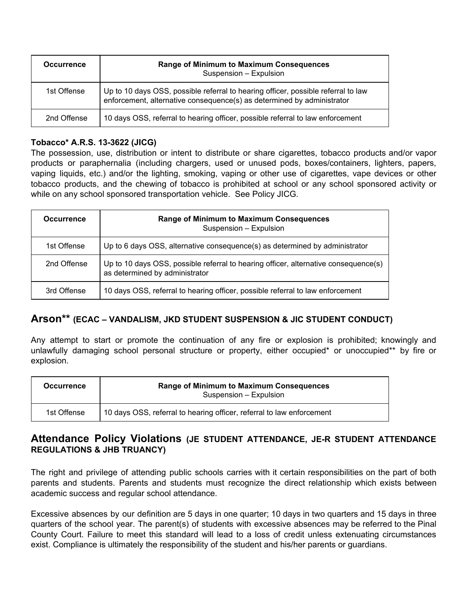| <b>Occurrence</b> | <b>Range of Minimum to Maximum Consequences</b><br>Suspension - Expulsion                                                                                   |
|-------------------|-------------------------------------------------------------------------------------------------------------------------------------------------------------|
| 1st Offense       | Up to 10 days OSS, possible referral to hearing officer, possible referral to law<br>enforcement, alternative consequence(s) as determined by administrator |
| 2nd Offense       | 10 days OSS, referral to hearing officer, possible referral to law enforcement                                                                              |

## **Tobacco\* A.R.S. 13-3622 (JICG)**

The possession, use, distribution or intent to distribute or share cigarettes, tobacco products and/or vapor products or paraphernalia (including chargers, used or unused pods, boxes/containers, lighters, papers, vaping liquids, etc.) and/or the lighting, smoking, vaping or other use of cigarettes, vape devices or other tobacco products, and the chewing of tobacco is prohibited at school or any school sponsored activity or while on any school sponsored transportation vehicle. See Policy JICG.

| <b>Occurrence</b> | <b>Range of Minimum to Maximum Consequences</b><br>Suspension - Expulsion                                             |
|-------------------|-----------------------------------------------------------------------------------------------------------------------|
| 1st Offense       | Up to 6 days OSS, alternative consequence(s) as determined by administrator                                           |
| 2nd Offense       | Up to 10 days OSS, possible referral to hearing officer, alternative consequence(s)<br>as determined by administrator |
| 3rd Offense       | 10 days OSS, referral to hearing officer, possible referral to law enforcement                                        |

## **Arson\*\* (ECAC – VANDALISM, JKD STUDENT SUSPENSION & JIC STUDENT CONDUCT)**

Any attempt to start or promote the continuation of any fire or explosion is prohibited; knowingly and unlawfully damaging school personal structure or property, either occupied\* or unoccupied\*\* by fire or explosion.

| <b>Occurrence</b> | <b>Range of Minimum to Maximum Consequences</b><br>Suspension - Expulsion |
|-------------------|---------------------------------------------------------------------------|
| 1st Offense       | 10 days OSS, referral to hearing officer, referral to law enforcement     |

## **Attendance Policy Violations (JE STUDENT ATTENDANCE, JE-R STUDENT ATTENDANCE REGULATIONS & JHB TRUANCY)**

The right and privilege of attending public schools carries with it certain responsibilities on the part of both parents and students. Parents and students must recognize the direct relationship which exists between academic success and regular school attendance.

Excessive absences by our definition are 5 days in one quarter; 10 days in two quarters and 15 days in three quarters of the school year. The parent(s) of students with excessive absences may be referred to the Pinal County Court. Failure to meet this standard will lead to a loss of credit unless extenuating circumstances exist. Compliance is ultimately the responsibility of the student and his/her parents or guardians.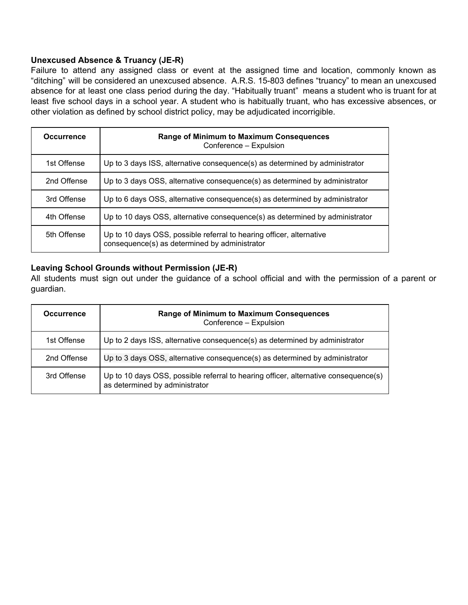### **Unexcused Absence & Truancy (JE-R)**

Failure to attend any assigned class or event at the assigned time and location, commonly known as "ditching" will be considered an unexcused absence. A.R.S. 15-803 defines "truancy" to mean an unexcused absence for at least one class period during the day. "Habitually truant" means a student who is truant for at least five school days in a school year. A student who is habitually truant, who has excessive absences, or other violation as defined by school district policy, may be adjudicated incorrigible.

| <b>Occurrence</b> | <b>Range of Minimum to Maximum Consequences</b><br>Conference - Expulsion                                             |
|-------------------|-----------------------------------------------------------------------------------------------------------------------|
| 1st Offense       | Up to 3 days ISS, alternative consequence(s) as determined by administrator                                           |
| 2nd Offense       | Up to 3 days OSS, alternative consequence(s) as determined by administrator                                           |
| 3rd Offense       | Up to 6 days OSS, alternative consequence(s) as determined by administrator                                           |
| 4th Offense       | Up to 10 days OSS, alternative consequence(s) as determined by administrator                                          |
| 5th Offense       | Up to 10 days OSS, possible referral to hearing officer, alternative<br>consequence(s) as determined by administrator |

#### **Leaving School Grounds without Permission (JE-R)**

All students must sign out under the guidance of a school official and with the permission of a parent or guardian.

| <b>Occurrence</b> | <b>Range of Minimum to Maximum Consequences</b><br>Conference - Expulsion                                             |
|-------------------|-----------------------------------------------------------------------------------------------------------------------|
| 1st Offense       | Up to 2 days ISS, alternative consequence(s) as determined by administrator                                           |
| 2nd Offense       | Up to 3 days OSS, alternative consequence(s) as determined by administrator                                           |
| 3rd Offense       | Up to 10 days OSS, possible referral to hearing officer, alternative consequence(s)<br>as determined by administrator |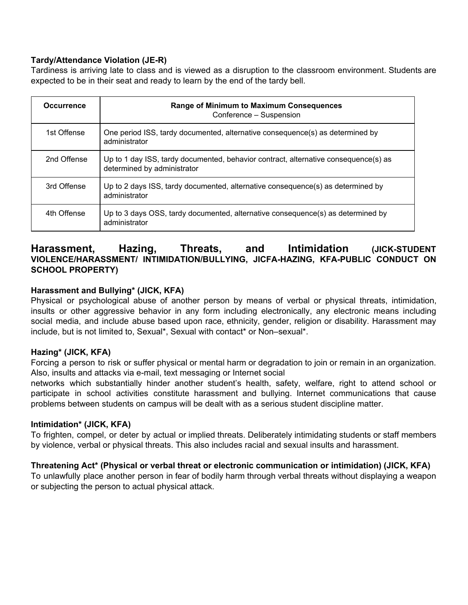## **Tardy/Attendance Violation (JE-R)**

Tardiness is arriving late to class and is viewed as a disruption to the classroom environment. Students are expected to be in their seat and ready to learn by the end of the tardy bell.

| <b>Occurrence</b> | <b>Range of Minimum to Maximum Consequences</b><br>Conference - Suspension                                         |
|-------------------|--------------------------------------------------------------------------------------------------------------------|
| 1st Offense       | One period ISS, tardy documented, alternative consequence(s) as determined by<br>administrator                     |
| 2nd Offense       | Up to 1 day ISS, tardy documented, behavior contract, alternative consequence(s) as<br>determined by administrator |
| 3rd Offense       | Up to 2 days ISS, tardy documented, alternative consequence(s) as determined by<br>administrator                   |
| 4th Offense       | Up to 3 days OSS, tardy documented, alternative consequence(s) as determined by<br>administrator                   |

## **Harassment, Hazing, Threats, and Intimidation (JICK-STUDENT VIOLENCE/HARASSMENT/ INTIMIDATION/BULLYING, JICFA-HAZING, KFA-PUBLIC CONDUCT ON SCHOOL PROPERTY)**

#### **Harassment and Bullying\* (JICK, KFA)**

Physical or psychological abuse of another person by means of verbal or physical threats, intimidation, insults or other aggressive behavior in any form including electronically, any electronic means including social media, and include abuse based upon race, ethnicity, gender, religion or disability. Harassment may include, but is not limited to, Sexual\*, Sexual with contact\* or Non–sexual\*.

#### **Hazing\* (JICK, KFA)**

Forcing a person to risk or suffer physical or mental harm or degradation to join or remain in an organization. Also, insults and attacks via e-mail, text messaging or Internet social

networks which substantially hinder another student's health, safety, welfare, right to attend school or participate in school activities constitute harassment and bullying. Internet communications that cause problems between students on campus will be dealt with as a serious student discipline matter.

#### **Intimidation\* (JICK, KFA)**

To frighten, compel, or deter by actual or implied threats. Deliberately intimidating students or staff members by violence, verbal or physical threats. This also includes racial and sexual insults and harassment.

## **Threatening Act\* (Physical or verbal threat or electronic communication or intimidation) (JICK, KFA)**

To unlawfully place another person in fear of bodily harm through verbal threats without displaying a weapon or subjecting the person to actual physical attack.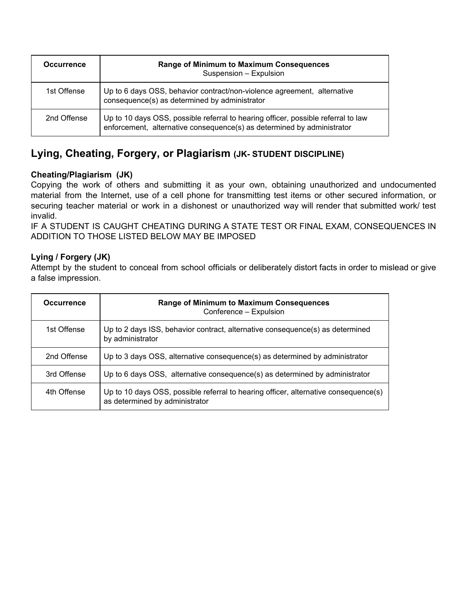| <b>Occurrence</b> | <b>Range of Minimum to Maximum Consequences</b><br>Suspension - Expulsion                                                                                   |
|-------------------|-------------------------------------------------------------------------------------------------------------------------------------------------------------|
| 1st Offense       | Up to 6 days OSS, behavior contract/non-violence agreement, alternative<br>consequence(s) as determined by administrator                                    |
| 2nd Offense       | Up to 10 days OSS, possible referral to hearing officer, possible referral to law<br>enforcement, alternative consequence(s) as determined by administrator |

# **Lying, Cheating, Forgery, or Plagiarism (JK- STUDENT DISCIPLINE)**

## **Cheating/Plagiarism (JK)**

Copying the work of others and submitting it as your own, obtaining unauthorized and undocumented material from the Internet, use of a cell phone for transmitting test items or other secured information, or securing teacher material or work in a dishonest or unauthorized way will render that submitted work/ test invalid.

IF A STUDENT IS CAUGHT CHEATING DURING A STATE TEST OR FINAL EXAM, CONSEQUENCES IN ADDITION TO THOSE LISTED BELOW MAY BE IMPOSED

## **Lying / Forgery (JK)**

Attempt by the student to conceal from school officials or deliberately distort facts in order to mislead or give a false impression.

| <b>Occurrence</b> | <b>Range of Minimum to Maximum Consequences</b><br>Conference - Expulsion                                             |
|-------------------|-----------------------------------------------------------------------------------------------------------------------|
| 1st Offense       | Up to 2 days ISS, behavior contract, alternative consequence(s) as determined<br>by administrator                     |
| 2nd Offense       | Up to 3 days OSS, alternative consequence(s) as determined by administrator                                           |
| 3rd Offense       | Up to 6 days OSS, alternative consequence(s) as determined by administrator                                           |
| 4th Offense       | Up to 10 days OSS, possible referral to hearing officer, alternative consequence(s)<br>as determined by administrator |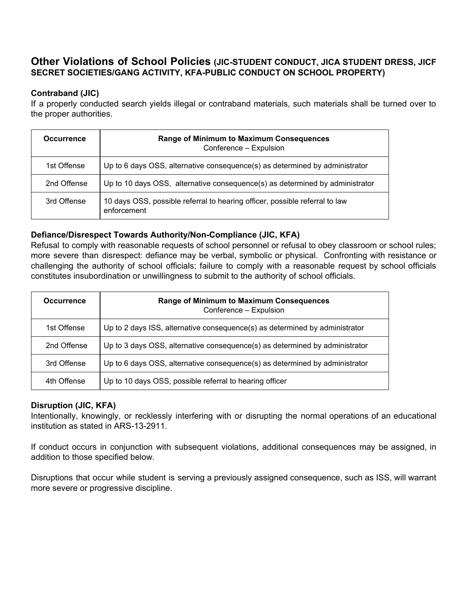## **Other Violations of School Policies (JIC-STUDENT CONDUCT, JICA STUDENT DRESS, JICF SECRET SOCIETIES/GANG ACTIVITY, KFA-PUBLIC CONDUCT ON SCHOOL PROPERTY)**

## **Contraband (JIC)**

If a properly conducted search yields illegal or contraband materials, such materials shall be turned over to the proper authorities.

| <b>Occurrence</b> | <b>Range of Minimum to Maximum Consequences</b><br>Conference - Expulsion                  |
|-------------------|--------------------------------------------------------------------------------------------|
| 1st Offense       | Up to 6 days OSS, alternative consequence(s) as determined by administrator                |
| 2nd Offense       | Up to 10 days OSS, alternative consequence(s) as determined by administrator               |
| 3rd Offense       | 10 days OSS, possible referral to hearing officer, possible referral to law<br>enforcement |

#### **Defiance/Disrespect Towards Authority/Non-Compliance (JIC, KFA)**

Refusal to comply with reasonable requests of school personnel or refusal to obey classroom or school rules; more severe than disrespect: defiance may be verbal, symbolic or physical. Confronting with resistance or challenging the authority of school officials; failure to comply with a reasonable request by school officials constitutes insubordination or unwillingness to submit to the authority of school officials.

| <b>Occurrence</b> | <b>Range of Minimum to Maximum Consequences</b><br>Conference - Expulsion   |
|-------------------|-----------------------------------------------------------------------------|
| 1st Offense       | Up to 2 days ISS, alternative consequence(s) as determined by administrator |
| 2nd Offense       | Up to 3 days OSS, alternative consequence(s) as determined by administrator |
| 3rd Offense       | Up to 6 days OSS, alternative consequence(s) as determined by administrator |
| 4th Offense       | Up to 10 days OSS, possible referral to hearing officer                     |

#### **Disruption (JIC, KFA)**

Intentionally, knowingly, or recklessly interfering with or disrupting the normal operations of an educational institution as stated in ARS-13-2911.

If conduct occurs in conjunction with subsequent violations, additional consequences may be assigned, in addition to those specified below.

Disruptions that occur while student is serving a previously assigned consequence, such as ISS, will warrant more severe or progressive discipline.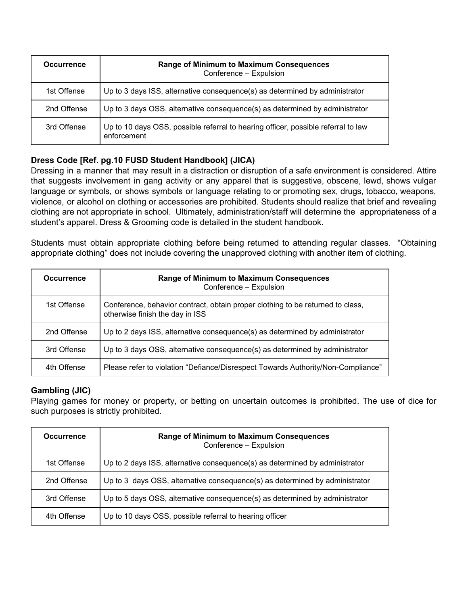| <b>Occurrence</b> | Range of Minimum to Maximum Consequences<br>Conference - Expulsion                               |
|-------------------|--------------------------------------------------------------------------------------------------|
| 1st Offense       | Up to 3 days ISS, alternative consequence(s) as determined by administrator                      |
| 2nd Offense       | Up to 3 days OSS, alternative consequence(s) as determined by administrator                      |
| 3rd Offense       | Up to 10 days OSS, possible referral to hearing officer, possible referral to law<br>enforcement |

## **Dress Code [Ref. pg.10 FUSD Student Handbook] (JICA)**

Dressing in a manner that may result in a distraction or disruption of a safe environment is considered. Attire that suggests involvement in gang activity or any apparel that is suggestive, obscene, lewd, shows vulgar language or symbols, or shows symbols or language relating to or promoting sex, drugs, tobacco, weapons, violence, or alcohol on clothing or accessories are prohibited. Students should realize that brief and revealing clothing are not appropriate in school. Ultimately, administration/staff will determine the appropriateness of a student's apparel. Dress & Grooming code is detailed in the student handbook.

Students must obtain appropriate clothing before being returned to attending regular classes. "Obtaining appropriate clothing" does not include covering the unapproved clothing with another item of clothing.

| <b>Occurrence</b> | <b>Range of Minimum to Maximum Consequences</b><br>Conference - Expulsion                                         |
|-------------------|-------------------------------------------------------------------------------------------------------------------|
| 1st Offense       | Conference, behavior contract, obtain proper clothing to be returned to class,<br>otherwise finish the day in ISS |
| 2nd Offense       | Up to 2 days ISS, alternative consequence(s) as determined by administrator                                       |
| 3rd Offense       | Up to 3 days OSS, alternative consequence(s) as determined by administrator                                       |
| 4th Offense       | Please refer to violation "Defiance/Disrespect Towards Authority/Non-Compliance"                                  |

## **Gambling (JIC)**

Playing games for money or property, or betting on uncertain outcomes is prohibited. The use of dice for such purposes is strictly prohibited.

| <b>Occurrence</b> | <b>Range of Minimum to Maximum Consequences</b><br>Conference - Expulsion   |
|-------------------|-----------------------------------------------------------------------------|
| 1st Offense       | Up to 2 days ISS, alternative consequence(s) as determined by administrator |
| 2nd Offense       | Up to 3 days OSS, alternative consequence(s) as determined by administrator |
| 3rd Offense       | Up to 5 days OSS, alternative consequence(s) as determined by administrator |
| 4th Offense       | Up to 10 days OSS, possible referral to hearing officer                     |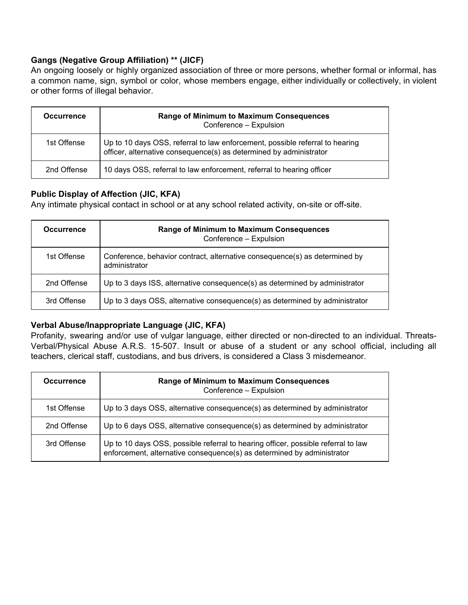## **Gangs (Negative Group Affiliation) \*\* (JICF)**

An ongoing loosely or highly organized association of three or more persons, whether formal or informal, has a common name, sign, symbol or color, whose members engage, either individually or collectively, in violent or other forms of illegal behavior.

| <b>Occurrence</b> | <b>Range of Minimum to Maximum Consequences</b><br>Conference - Expulsion                                                                          |
|-------------------|----------------------------------------------------------------------------------------------------------------------------------------------------|
| 1st Offense       | Up to 10 days OSS, referral to law enforcement, possible referral to hearing<br>officer, alternative consequence(s) as determined by administrator |
| 2nd Offense       | 10 days OSS, referral to law enforcement, referral to hearing officer                                                                              |

#### **Public Display of Affection (JIC, KFA)**

Any intimate physical contact in school or at any school related activity, on-site or off-site.

| <b>Occurrence</b> | <b>Range of Minimum to Maximum Consequences</b><br>Conference - Expulsion                   |
|-------------------|---------------------------------------------------------------------------------------------|
| 1st Offense       | Conference, behavior contract, alternative consequence(s) as determined by<br>administrator |
| 2nd Offense       | Up to 3 days ISS, alternative consequence(s) as determined by administrator                 |
| 3rd Offense       | Up to 3 days OSS, alternative consequence(s) as determined by administrator                 |

#### **Verbal Abuse/Inappropriate Language (JIC, KFA)**

Profanity, swearing and/or use of vulgar language, either directed or non-directed to an individual. Threats-Verbal/Physical Abuse A.R.S. 15-507. Insult or abuse of a student or any school official, including all teachers, clerical staff, custodians, and bus drivers, is considered a Class 3 misdemeanor.

| <b>Occurrence</b> | <b>Range of Minimum to Maximum Consequences</b><br>Conference - Expulsion                                                                                   |
|-------------------|-------------------------------------------------------------------------------------------------------------------------------------------------------------|
| 1st Offense       | Up to 3 days OSS, alternative consequence(s) as determined by administrator                                                                                 |
| 2nd Offense       | Up to 6 days OSS, alternative consequence(s) as determined by administrator                                                                                 |
| 3rd Offense       | Up to 10 days OSS, possible referral to hearing officer, possible referral to law<br>enforcement, alternative consequence(s) as determined by administrator |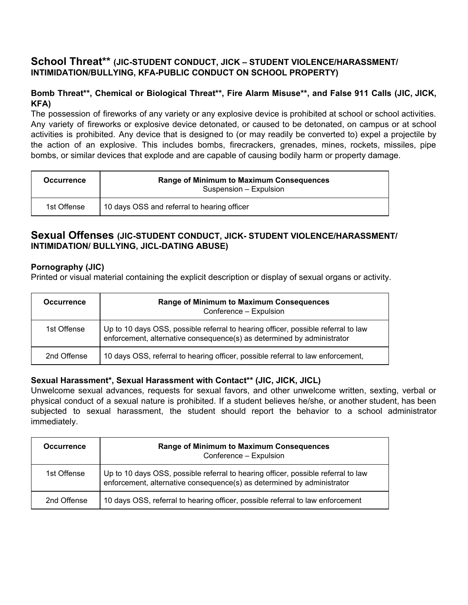## **School Threat\*\* (JIC-STUDENT CONDUCT, JICK – STUDENT VIOLENCE/HARASSMENT/ INTIMIDATION/BULLYING, KFA-PUBLIC CONDUCT ON SCHOOL PROPERTY)**

## **Bomb Threat\*\*, Chemical or Biological Threat\*\*, Fire Alarm Misuse\*\*, and False 911 Calls (JIC, JICK, KFA)**

The possession of fireworks of any variety or any explosive device is prohibited at school or school activities. Any variety of fireworks or explosive device detonated, or caused to be detonated, on campus or at school activities is prohibited. Any device that is designed to (or may readily be converted to) expel a projectile by the action of an explosive. This includes bombs, firecrackers, grenades, mines, rockets, missiles, pipe bombs, or similar devices that explode and are capable of causing bodily harm or property damage.

| <b>Occurrence</b> | <b>Range of Minimum to Maximum Consequences</b><br>Suspension - Expulsion |
|-------------------|---------------------------------------------------------------------------|
| 1st Offense       | 10 days OSS and referral to hearing officer                               |

## **Sexual Offenses (JIC-STUDENT CONDUCT, JICK- STUDENT VIOLENCE/HARASSMENT/ INTIMIDATION/ BULLYING, JICL-DATING ABUSE)**

## **Pornography (JIC)**

Printed or visual material containing the explicit description or display of sexual organs or activity.

| <b>Occurrence</b> | <b>Range of Minimum to Maximum Consequences</b><br>Conference - Expulsion                                                                                   |
|-------------------|-------------------------------------------------------------------------------------------------------------------------------------------------------------|
| 1st Offense       | Up to 10 days OSS, possible referral to hearing officer, possible referral to law<br>enforcement, alternative consequence(s) as determined by administrator |
| 2nd Offense       | 10 days OSS, referral to hearing officer, possible referral to law enforcement,                                                                             |

## **Sexual Harassment\*, Sexual Harassment with Contact\*\* (JIC, JICK, JICL)**

Unwelcome sexual advances, requests for sexual favors, and other unwelcome written, sexting, verbal or physical conduct of a sexual nature is prohibited. If a student believes he/she, or another student, has been subjected to sexual harassment, the student should report the behavior to a school administrator immediately.

| <b>Occurrence</b> | <b>Range of Minimum to Maximum Consequences</b><br>Conference - Expulsion                                                                                   |
|-------------------|-------------------------------------------------------------------------------------------------------------------------------------------------------------|
| 1st Offense       | Up to 10 days OSS, possible referral to hearing officer, possible referral to law<br>enforcement, alternative consequence(s) as determined by administrator |
| 2nd Offense       | 10 days OSS, referral to hearing officer, possible referral to law enforcement                                                                              |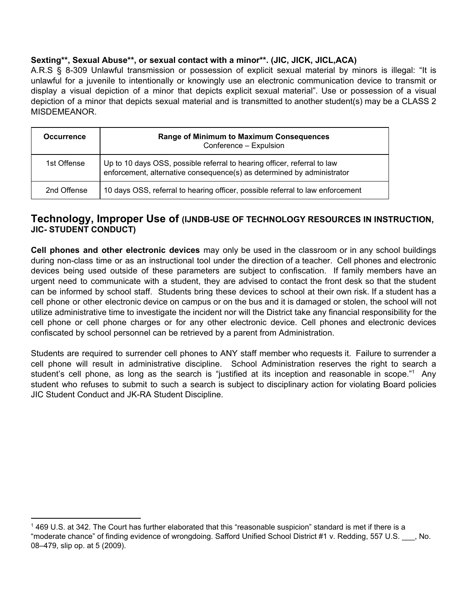## **Sexting\*\*, Sexual Abuse\*\*, or sexual contact with a minor\*\*. (JIC, JICK, JICL,ACA)**

A.R.S § 8-309 Unlawful transmission or possession of explicit sexual material by minors is illegal: "It is unlawful for a juvenile to intentionally or knowingly use an electronic communication device to transmit or display a visual depiction of a minor that depicts explicit sexual material". Use or possession of a visual depiction of a minor that depicts sexual material and is transmitted to another student(s) may be a CLASS 2 MISDEMEANOR.

| <b>Occurrence</b> | <b>Range of Minimum to Maximum Consequences</b><br>Conference - Expulsion                                                                          |
|-------------------|----------------------------------------------------------------------------------------------------------------------------------------------------|
| 1st Offense       | Up to 10 days OSS, possible referral to hearing officer, referral to law<br>enforcement, alternative consequence(s) as determined by administrator |
| 2nd Offense       | 10 days OSS, referral to hearing officer, possible referral to law enforcement                                                                     |

## **Technology, Improper Use of (IJNDB-USE OF TECHNOLOGY RESOURCES IN INSTRUCTION, JIC- STUDENT CONDUCT)**

**Cell phones and other electronic devices** may only be used in the classroom or in any school buildings during non-class time or as an instructional tool under the direction of a teacher. Cell phones and electronic devices being used outside of these parameters are subject to confiscation. If family members have an urgent need to communicate with a student, they are advised to contact the front desk so that the student can be informed by school staff. Students bring these devices to school at their own risk. If a student has a cell phone or other electronic device on campus or on the bus and it is damaged or stolen, the school will not utilize administrative time to investigate the incident nor will the District take any financial responsibility for the cell phone or cell phone charges or for any other electronic device. Cell phones and electronic devices confiscated by school personnel can be retrieved by a parent from Administration.

Students are required to surrender cell phones to ANY staff member who requests it. Failure to surrender a cell phone will result in administrative discipline. School Administration reserves the right to search a student's cell phone, as long as the search is "justified at its inception and reasonable in scope."<sup>1</sup> Any student who refuses to submit to such a search is subject to disciplinary action for violating Board policies JIC Student Conduct and JK-RA Student Discipline.

<sup>1</sup> 469 U.S. at 342. The Court has further elaborated that this "reasonable suspicion" standard is met if there is a "moderate chance" of finding evidence of wrongdoing. Safford Unified School District #1 v. Redding, 557 U.S. \_\_\_, No. 08–479, slip op. at 5 (2009).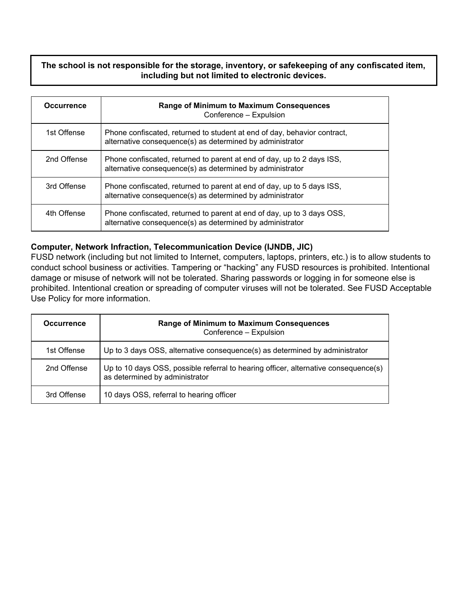## **The school is not responsible for the storage, inventory, or safekeeping of any confiscated item, including but not limited to electronic devices.**

| <b>Occurrence</b> | <b>Range of Minimum to Maximum Consequences</b><br>Conference - Expulsion                                                             |
|-------------------|---------------------------------------------------------------------------------------------------------------------------------------|
| 1st Offense       | Phone confiscated, returned to student at end of day, behavior contract,<br>alternative consequence(s) as determined by administrator |
| 2nd Offense       | Phone confiscated, returned to parent at end of day, up to 2 days ISS,<br>alternative consequence(s) as determined by administrator   |
| 3rd Offense       | Phone confiscated, returned to parent at end of day, up to 5 days ISS,<br>alternative consequence(s) as determined by administrator   |
| 4th Offense       | Phone confiscated, returned to parent at end of day, up to 3 days OSS,<br>alternative consequence(s) as determined by administrator   |

#### **Computer, Network Infraction, Telecommunication Device (IJNDB, JIC)**

FUSD network (including but not limited to Internet, computers, laptops, printers, etc.) is to allow students to conduct school business or activities. Tampering or "hacking" any FUSD resources is prohibited. Intentional damage or misuse of network will not be tolerated. Sharing passwords or logging in for someone else is prohibited. Intentional creation or spreading of computer viruses will not be tolerated. See FUSD Acceptable Use Policy for more information.

| <b>Occurrence</b> | <b>Range of Minimum to Maximum Consequences</b><br>Conference - Expulsion                                             |
|-------------------|-----------------------------------------------------------------------------------------------------------------------|
| 1st Offense       | Up to 3 days OSS, alternative consequence(s) as determined by administrator                                           |
| 2nd Offense       | Up to 10 days OSS, possible referral to hearing officer, alternative consequence(s)<br>as determined by administrator |
| 3rd Offense       | 10 days OSS, referral to hearing officer                                                                              |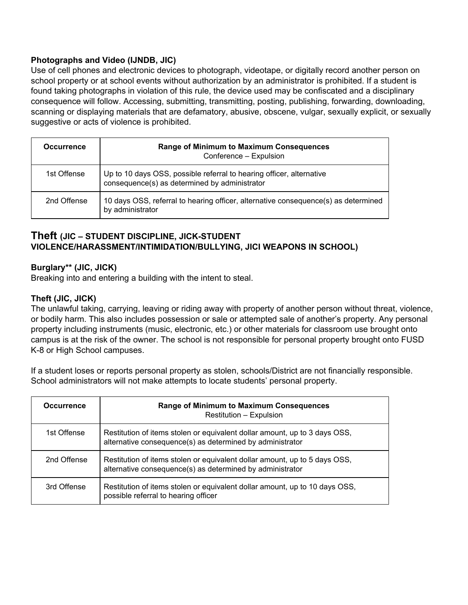## **Photographs and Video (IJNDB, JIC)**

Use of cell phones and electronic devices to photograph, videotape, or digitally record another person on school property or at school events without authorization by an administrator is prohibited. If a student is found taking photographs in violation of this rule, the device used may be confiscated and a disciplinary consequence will follow. Accessing, submitting, transmitting, posting, publishing, forwarding, downloading, scanning or displaying materials that are defamatory, abusive, obscene, vulgar, sexually explicit, or sexually suggestive or acts of violence is prohibited.

| <b>Occurrence</b> | <b>Range of Minimum to Maximum Consequences</b><br>Conference - Expulsion                                             |
|-------------------|-----------------------------------------------------------------------------------------------------------------------|
| 1st Offense       | Up to 10 days OSS, possible referral to hearing officer, alternative<br>consequence(s) as determined by administrator |
| 2nd Offense       | 10 days OSS, referral to hearing officer, alternative consequence(s) as determined<br>by administrator                |

## **Theft (JIC – STUDENT DISCIPLINE, JICK-STUDENT VIOLENCE/HARASSMENT/INTIMIDATION/BULLYING, JICI WEAPONS IN SCHOOL)**

## **Burglary\*\* (JIC, JICK)**

Breaking into and entering a building with the intent to steal.

#### **Theft (JIC, JICK)**

The unlawful taking, carrying, leaving or riding away with property of another person without threat, violence, or bodily harm. This also includes possession or sale or attempted sale of another's property. Any personal property including instruments (music, electronic, etc.) or other materials for classroom use brought onto campus is at the risk of the owner. The school is not responsible for personal property brought onto FUSD K-8 or High School campuses.

If a student loses or reports personal property as stolen, schools/District are not financially responsible. School administrators will not make attempts to locate students' personal property.

| <b>Occurrence</b> | <b>Range of Minimum to Maximum Consequences</b><br><b>Restitution - Expulsion</b>                                                       |
|-------------------|-----------------------------------------------------------------------------------------------------------------------------------------|
| 1st Offense       | Restitution of items stolen or equivalent dollar amount, up to 3 days OSS,<br>alternative consequence(s) as determined by administrator |
| 2nd Offense       | Restitution of items stolen or equivalent dollar amount, up to 5 days OSS,<br>alternative consequence(s) as determined by administrator |
| 3rd Offense       | Restitution of items stolen or equivalent dollar amount, up to 10 days OSS,<br>possible referral to hearing officer                     |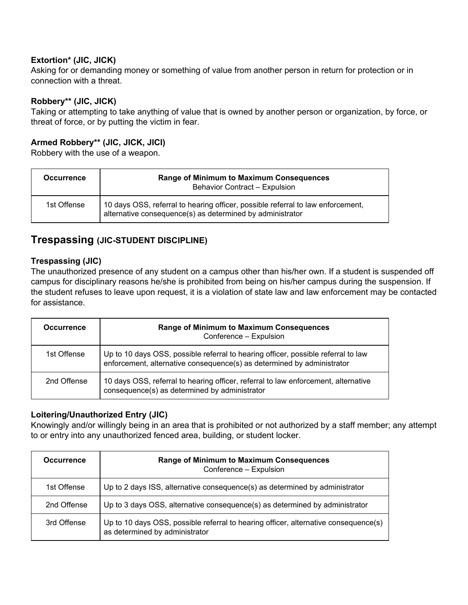## **Extortion\* (JIC, JICK)**

Asking for or demanding money or something of value from another person in return for protection or in connection with a threat.

### **Robbery\*\* (JIC, JICK)**

Taking or attempting to take anything of value that is owned by another person or organization, by force, or threat of force, or by putting the victim in fear.

## **Armed Robbery\*\* (JIC, JICK, JICI)**

Robbery with the use of a weapon.

| <b>Occurrence</b> | Range of Minimum to Maximum Consequences<br>Behavior Contract - Expulsion                                                                    |
|-------------------|----------------------------------------------------------------------------------------------------------------------------------------------|
| 1st Offense       | 10 days OSS, referral to hearing officer, possible referral to law enforcement,<br>alternative consequence(s) as determined by administrator |

## **Trespassing (JIC-STUDENT DISCIPLINE)**

#### **Trespassing (JIC)**

The unauthorized presence of any student on a campus other than his/her own. If a student is suspended off campus for disciplinary reasons he/she is prohibited from being on his/her campus during the suspension. If the student refuses to leave upon request, it is a violation of state law and law enforcement may be contacted for assistance.

| <b>Occurrence</b> | Range of Minimum to Maximum Consequences<br>Conference - Expulsion                                                                                          |
|-------------------|-------------------------------------------------------------------------------------------------------------------------------------------------------------|
| 1st Offense       | Up to 10 days OSS, possible referral to hearing officer, possible referral to law<br>enforcement, alternative consequence(s) as determined by administrator |
| 2nd Offense       | 10 days OSS, referral to hearing officer, referral to law enforcement, alternative<br>consequence(s) as determined by administrator                         |

#### **Loitering/Unauthorized Entry (JIC)**

Knowingly and/or willingly being in an area that is prohibited or not authorized by a staff member; any attempt to or entry into any unauthorized fenced area, building, or student locker.

| <b>Occurrence</b> | <b>Range of Minimum to Maximum Consequences</b><br>Conference - Expulsion                                             |
|-------------------|-----------------------------------------------------------------------------------------------------------------------|
| 1st Offense       | Up to 2 days ISS, alternative consequence(s) as determined by administrator                                           |
| 2nd Offense       | Up to 3 days OSS, alternative consequence(s) as determined by administrator                                           |
| 3rd Offense       | Up to 10 days OSS, possible referral to hearing officer, alternative consequence(s)<br>as determined by administrator |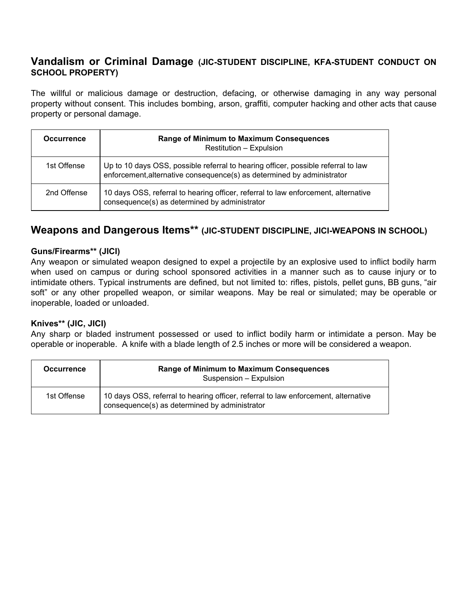## **Vandalism or Criminal Damage (JIC-STUDENT DISCIPLINE, KFA-STUDENT CONDUCT ON SCHOOL PROPERTY)**

The willful or malicious damage or destruction, defacing, or otherwise damaging in any way personal property without consent. This includes bombing, arson, graffiti, computer hacking and other acts that cause property or personal damage.

| <b>Occurrence</b> | <b>Range of Minimum to Maximum Consequences</b><br>Restitution - Expulsion                                                                                  |
|-------------------|-------------------------------------------------------------------------------------------------------------------------------------------------------------|
| 1st Offense       | Up to 10 days OSS, possible referral to hearing officer, possible referral to law<br>enforcement, alternative consequence(s) as determined by administrator |
| 2nd Offense       | 10 days OSS, referral to hearing officer, referral to law enforcement, alternative<br>consequence(s) as determined by administrator                         |

## **Weapons and Dangerous Items\*\* (JIC-STUDENT DISCIPLINE, JICI-WEAPONS IN SCHOOL)**

## **Guns/Firearms\*\* (JICI)**

Any weapon or simulated weapon designed to expel a projectile by an explosive used to inflict bodily harm when used on campus or during school sponsored activities in a manner such as to cause injury or to intimidate others. Typical instruments are defined, but not limited to: rifles, pistols, pellet guns, BB guns, "air soft" or any other propelled weapon, or similar weapons. May be real or simulated; may be operable or inoperable, loaded or unloaded.

#### **Knives\*\* (JIC, JICI)**

Any sharp or bladed instrument possessed or used to inflict bodily harm or intimidate a person. May be operable or inoperable. A knife with a blade length of 2.5 inches or more will be considered a weapon.

| <b>Occurrence</b> | <b>Range of Minimum to Maximum Consequences</b><br>Suspension - Expulsion                                                           |
|-------------------|-------------------------------------------------------------------------------------------------------------------------------------|
| 1st Offense       | 10 days OSS, referral to hearing officer, referral to law enforcement, alternative<br>consequence(s) as determined by administrator |